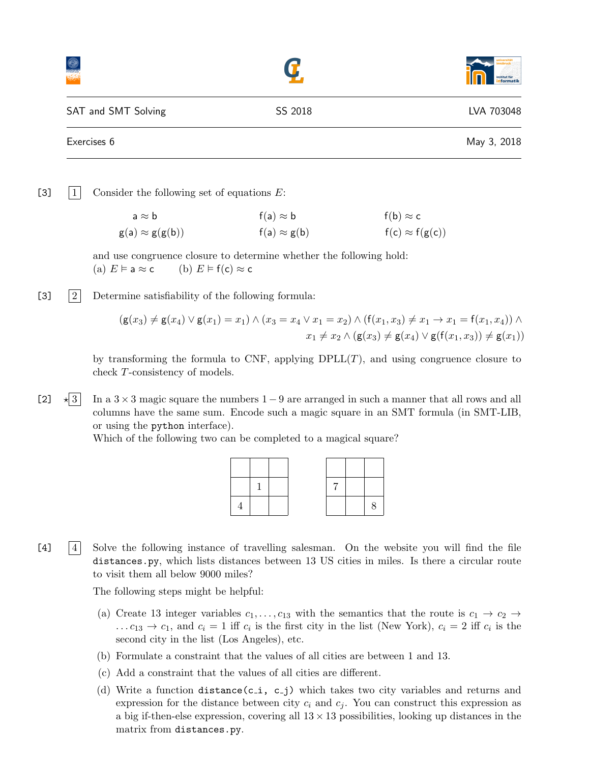|                     |         | institut für<br>informatik |
|---------------------|---------|----------------------------|
| SAT and SMT Solving | SS 2018 | LVA 703048                 |
| Exercises 6         |         | May 3, 2018                |

[3]  $|1|$  Consider the following set of equations E:

 $a \approx b$  f(a)  $\approx b$  f(b)  $\approx c$  $g(a) \approx g(g(b))$  f(a)  $\approx g(b)$  f(c)  $\approx f(g(c))$ 

and use congruence closure to determine whether the following hold: (a)  $E \models a \approx c$  (b)  $E \models f(c) \approx c$ 

[3]  $|2|$  Determine satisfiability of the following formula:

$$
(g(x_3) \neq g(x_4) \lor g(x_1) = x_1) \land (x_3 = x_4 \lor x_1 = x_2) \land (f(x_1, x_3) \neq x_1 \to x_1 = f(x_1, x_4)) \land x_1 \neq x_2 \land (g(x_3) \neq g(x_4) \lor g(f(x_1, x_3)) \neq g(x_1))
$$

by transforming the formula to CNF, applying  $DPLL(T)$ , and using congruence closure to check T-consistency of models.

 $\lfloor 2 \rfloor$   $\star$  3 In a 3 × 3 magic square the numbers 1 – 9 are arranged in such a manner that all rows and all columns have the same sum. Encode such a magic square in an SMT formula (in SMT-LIB, or using the python interface).

Which of the following two can be completed to a magical square?



[4] 4 Solve the following instance of travelling salesman. On the website you will find the file distances.py, which lists distances between 13 US cities in miles. Is there a circular route to visit them all below 9000 miles?

The following steps might be helpful:

- (a) Create 13 integer variables  $c_1, \ldots, c_{13}$  with the semantics that the route is  $c_1 \rightarrow c_2 \rightarrow$ ...  $c_{13} \rightarrow c_1$ , and  $c_i = 1$  iff  $c_i$  is the first city in the list (New York),  $c_i = 2$  iff  $c_i$  is the second city in the list (Los Angeles), etc.
- (b) Formulate a constraint that the values of all cities are between 1 and 13.
- (c) Add a constraint that the values of all cities are different.
- (d) Write a function distance(c<sub>-1</sub>, c<sub>-j</sub>) which takes two city variables and returns and expression for the distance between city  $c_i$  and  $c_j$ . You can construct this expression as a big if-then-else expression, covering all  $13 \times 13$  possibilities, looking up distances in the matrix from distances.py.